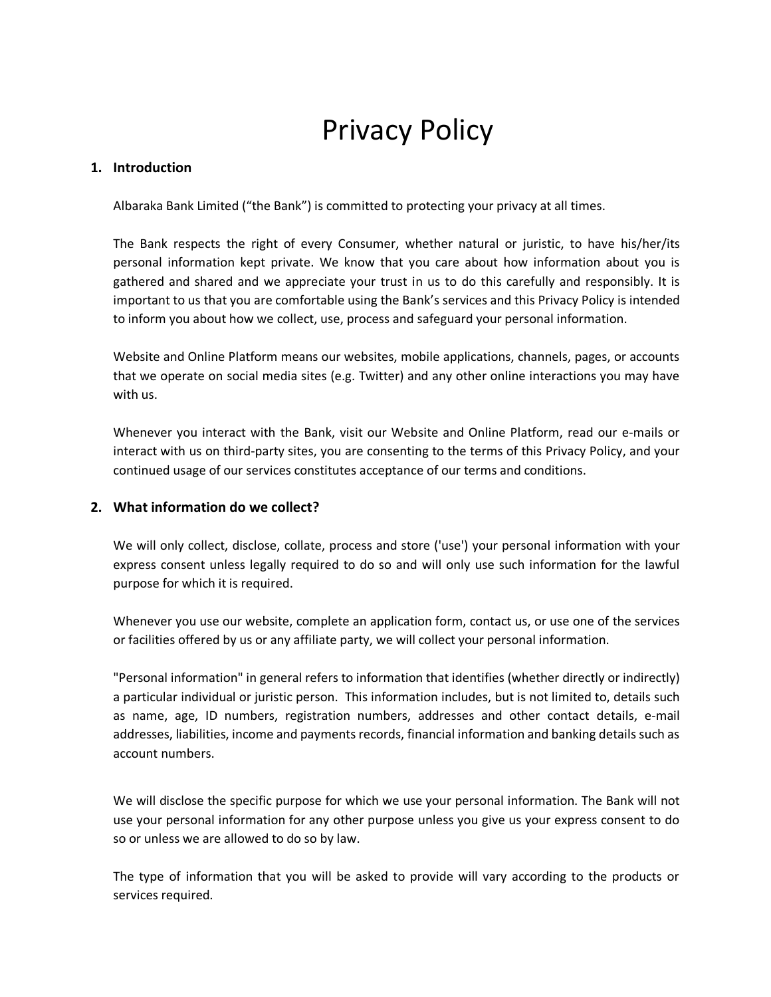# Privacy Policy

#### **1. Introduction**

Albaraka Bank Limited ("the Bank") is committed to protecting your privacy at all times.

The Bank respects the right of every Consumer, whether natural or juristic, to have his/her/its personal information kept private. We know that you care about how information about you is gathered and shared and we appreciate your trust in us to do this carefully and responsibly. It is important to us that you are comfortable using the Bank's services and this Privacy Policy is intended to inform you about how we collect, use, process and safeguard your personal information.

Website and Online Platform means our websites, mobile applications, channels, pages, or accounts that we operate on social media sites (e.g. Twitter) and any other online interactions you may have with us.

Whenever you interact with the Bank, visit our Website and Online Platform, read our e-mails or interact with us on third-party sites, you are consenting to the terms of this Privacy Policy, and your continued usage of our services constitutes acceptance of our terms and conditions.

## **2. What information do we collect?**

We will only collect, disclose, collate, process and store ('use') your personal information with your express consent unless legally required to do so and will only use such information for the lawful purpose for which it is required.

Whenever you use our website, complete an application form, contact us, or use one of the services or facilities offered by us or any affiliate party, we will collect your personal information.

"Personal information" in general refers to information that identifies (whether directly or indirectly) a particular individual or juristic person. This information includes, but is not limited to, details such as name, age, ID numbers, registration numbers, addresses and other contact details, e-mail addresses, liabilities, income and payments records, financial information and banking details such as account numbers.

We will disclose the specific purpose for which we use your personal information. The Bank will not use your personal information for any other purpose unless you give us your express consent to do so or unless we are allowed to do so by law.

The type of information that you will be asked to provide will vary according to the products or services required.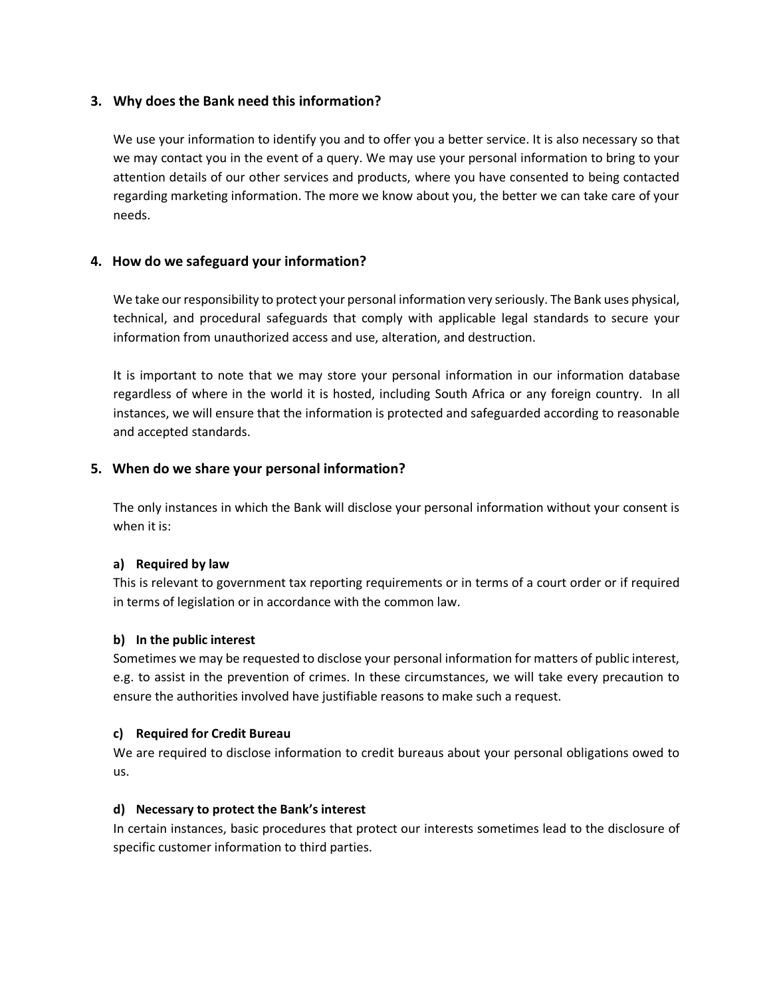## **3. Why does the Bank need this information?**

We use your information to identify you and to offer you a better service. It is also necessary so that we may contact you in the event of a query. We may use your personal information to bring to your attention details of our other services and products, where you have consented to being contacted regarding marketing information. The more we know about you, the better we can take care of your needs.

## **4. How do we safeguard your information?**

We take our responsibility to protect your personal information very seriously. The Bank uses physical, technical, and procedural safeguards that comply with applicable legal standards to secure your information from unauthorized access and use, alteration, and destruction.

It is important to note that we may store your personal information in our information database regardless of where in the world it is hosted, including South Africa or any foreign country. In all instances, we will ensure that the information is protected and safeguarded according to reasonable and accepted standards.

## **5. When do we share your personal information?**

The only instances in which the Bank will disclose your personal information without your consent is when it is:

## **a) Required by law**

This is relevant to government tax reporting requirements or in terms of a court order or if required in terms of legislation or in accordance with the common law.

## **b) In the public interest**

Sometimes we may be requested to disclose your personal information for matters of public interest, e.g. to assist in the prevention of crimes. In these circumstances, we will take every precaution to ensure the authorities involved have justifiable reasons to make such a request.

## **c) Required for Credit Bureau**

We are required to disclose information to credit bureaus about your personal obligations owed to us.

## **d) Necessary to protect the Bank's interest**

In certain instances, basic procedures that protect our interests sometimes lead to the disclosure of specific customer information to third parties.